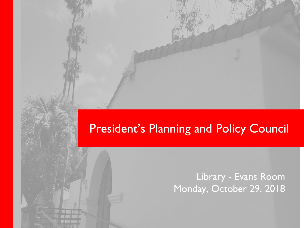## President's Planning and Policy Council

Library - Evans Room Monday, October 29, 2018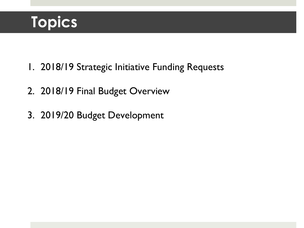# **Topics**

- 1. 2018/19 Strategic Initiative Funding Requests
- 2. 2018/19 Final Budget Overview
- 3. 2019/20 Budget Development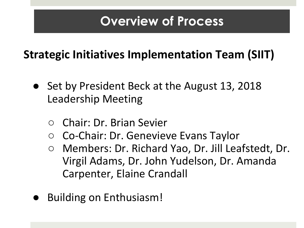# **Overview of Process**

## **Strategic Initiatives Implementation Team (SIIT)**

- Set by President Beck at the August 13, 2018 Leadership Meeting
	- Chair: Dr. Brian Sevier
	- Co-Chair: Dr. Genevieve Evans Taylor
	- Members: Dr. Richard Yao, Dr. Jill Leafstedt, Dr. Virgil Adams, Dr. John Yudelson, Dr. Amanda Carpenter, Elaine Crandall
- **Building on Enthusiasm!**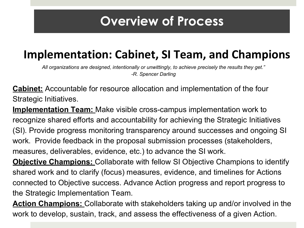## **Overview of Process**

## **Implementation: Cabinet, SI Team, and Champions**

*All organizations are designed, intentionally or unwittingly, to achieve precisely the results they get." -R. Spencer Darling*

**Cabinet:** Accountable for resource allocation and implementation of the four Strategic Initiatives.

**Implementation Team:** Make visible cross-campus implementation work to recognize shared efforts and accountability for achieving the Strategic Initiatives (SI). Provide progress monitoring transparency around successes and ongoing SI work. Provide feedback in the proposal submission processes (stakeholders, measures, deliverables, evidence, etc.) to advance the SI work.

**Objective Champions:** Collaborate with fellow SI Objective Champions to identify shared work and to clarify (focus) measures, evidence, and timelines for Actions connected to Objective success. Advance Action progress and report progress to the Strategic Implementation Team.

**Action Champions:** Collaborate with stakeholders taking up and/or involved in the work to develop, sustain, track, and assess the effectiveness of a given Action.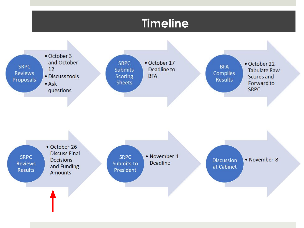### **Timeline**

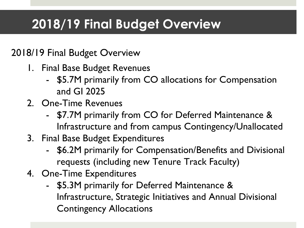# 2018/19 Final Budget Overview

#### 2018/19 Final Budget Overview

- 1. Final Base Budget Revenues
	- \$5.7M primarily from CO allocations for Compensation and GI 2025
- 2. One-Time Revenues
	- \$7.7M primarily from CO for Deferred Maintenance & Infrastructure and from campus Contingency/Unallocated
- 3. Final Base Budget Expenditures
	- \$6.2M primarily for Compensation/Benefits and Divisional requests (including new Tenure Track Faculty)
- 4. One-Time Expenditures
	- \$5.3M primarily for Deferred Maintenance & Infrastructure, Strategic Initiatives and Annual Divisional Contingency Allocations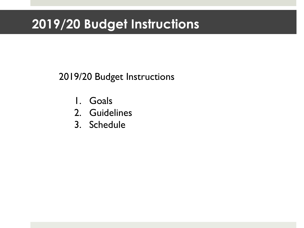## 2019/20 Budget Instructions

### 2019/20 Budget Instructions

- 1. Goals
- 2. Guidelines
- 3. Schedule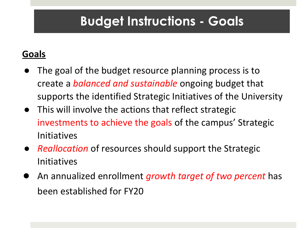# **Budget Instructions - Goals**

### **Goals**

- The goal of the budget resource planning process is to create a *balanced and sustainable* ongoing budget that supports the identified Strategic Initiatives of the University
- This will involve the actions that reflect strategic investments to achieve the goals of the campus' Strategic Initiatives
- *Reallocation* of resources should support the Strategic Initiatives
- An annualized enrollment *growth target of two percent* has been established for FY20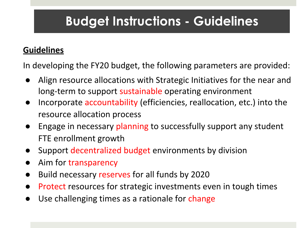# **Budget Instructions - Guidelines**

#### **Guidelines**

In developing the FY20 budget, the following parameters are provided:

- Align resource allocations with Strategic Initiatives for the near and long-term to support sustainable operating environment
- Incorporate accountability (efficiencies, reallocation, etc.) into the resource allocation process
- Engage in necessary planning to successfully support any student FTE enrollment growth
- Support decentralized budget environments by division
- Aim for transparency
- Build necessary reserves for all funds by 2020
- Protect resources for strategic investments even in tough times
- Use challenging times as a rationale for change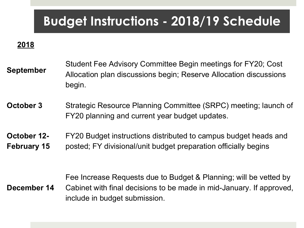## **Budget Instructions - 2018/19 Schedule**

 **2018**

**September** Student Fee Advisory Committee Begin meetings for FY20; Cost Allocation plan discussions begin; Reserve Allocation discussions begin.

**October 3** Strategic Resource Planning Committee (SRPC) meeting; launch of FY20 planning and current year budget updates.

**October 12- February 15** FY20 Budget instructions distributed to campus budget heads and posted; FY divisional/unit budget preparation officially begins

**December 14** Fee Increase Requests due to Budget & Planning; will be vetted by Cabinet with final decisions to be made in mid-January. If approved, include in budget submission.